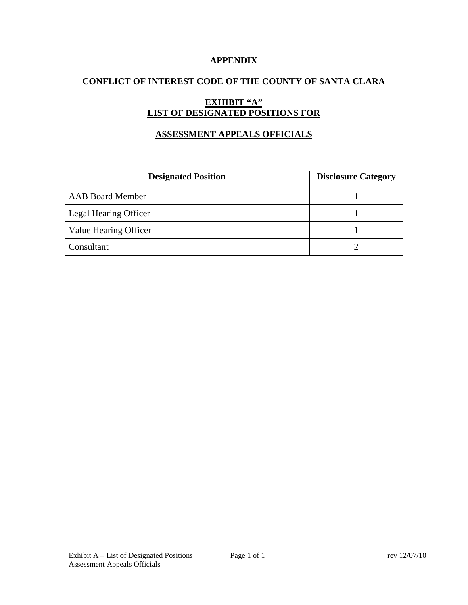### **APPENDIX**

## **CONFLICT OF INTEREST CODE OF THE COUNTY OF SANTA CLARA**

# **EXHIBIT "A" LIST OF DESIGNATED POSITIONS FOR**

# **ASSESSMENT APPEALS OFFICIALS**

| <b>Designated Position</b> | <b>Disclosure Category</b> |
|----------------------------|----------------------------|
| <b>AAB Board Member</b>    |                            |
| Legal Hearing Officer      |                            |
| Value Hearing Officer      |                            |
| Consultant                 |                            |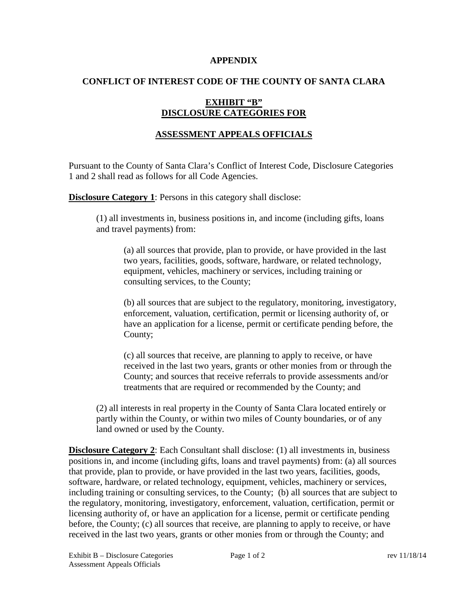#### **APPENDIX**

### **CONFLICT OF INTEREST CODE OF THE COUNTY OF SANTA CLARA**

# **EXHIBIT "B" DISCLOSURE CATEGORIES FOR**

# **ASSESSMENT APPEALS OFFICIALS**

Pursuant to the County of Santa Clara's Conflict of Interest Code, Disclosure Categories 1 and 2 shall read as follows for all Code Agencies.

**Disclosure Category 1:** Persons in this category shall disclose:

(1) all investments in, business positions in, and income (including gifts, loans and travel payments) from:

(a) all sources that provide, plan to provide, or have provided in the last two years, facilities, goods, software, hardware, or related technology, equipment, vehicles, machinery or services, including training or consulting services, to the County;

(b) all sources that are subject to the regulatory, monitoring, investigatory, enforcement, valuation, certification, permit or licensing authority of, or have an application for a license, permit or certificate pending before, the County;

(c) all sources that receive, are planning to apply to receive, or have received in the last two years, grants or other monies from or through the County; and sources that receive referrals to provide assessments and/or treatments that are required or recommended by the County; and

(2) all interests in real property in the County of Santa Clara located entirely or partly within the County, or within two miles of County boundaries, or of any land owned or used by the County.

**Disclosure Category 2**: Each Consultant shall disclose: (1) all investments in, business positions in, and income (including gifts, loans and travel payments) from: (a) all sources that provide, plan to provide, or have provided in the last two years, facilities, goods, software, hardware, or related technology, equipment, vehicles, machinery or services, including training or consulting services, to the County; (b) all sources that are subject to the regulatory, monitoring, investigatory, enforcement, valuation, certification, permit or licensing authority of, or have an application for a license, permit or certificate pending before, the County; (c) all sources that receive, are planning to apply to receive, or have received in the last two years, grants or other monies from or through the County; and